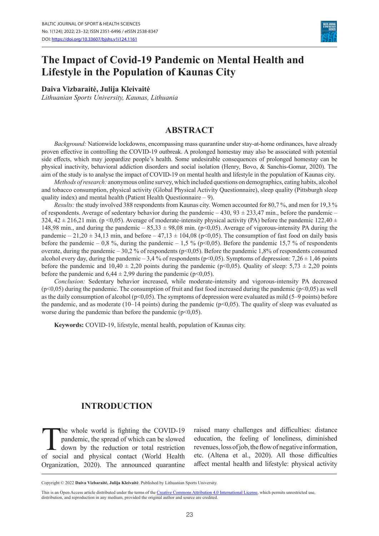

# **The Impact of Covid-19 Pandemic on Mental Health and Lifestyle in the Population of Kaunas City**

#### **Daiva Vizbaraitė, Julija Kleivaitė**

*Lithuanian Sports University, Kaunas, Lithuania*

#### **ABSTRACT**

*Background:* Nationwide lockdowns, encompassing mass quarantine under stay-at-home ordinances, have already proven effective in controlling the COVID-19 outbreak. A prolonged homestay may also be associated with potential side effects, which may jeopardize people's health. Some undesirable consequences of prolonged homestay can be physical inactivity, behavioral addiction disorders and social isolation (Henry, Bovo, & Sanchis-Gomar, 2020). The aim of the study is to analyse the impact of COVID-19 on mental health and lifestyle in the population of Kaunas city.

*Methods of research:* anonymous online survey, which included questions on demographics, eating habits, alcohol and tobacco consumption, physical activity (Global Physical Activity Questionnaire), sleep quality (Pittsburgh sleep quality index) and mental health (Patient Health Questionnaire – 9).

*Results:* the study involved 388 respondents from Kaunas city. Women accounted for 80,7 %, and men for 19,3 % of respondents. Average of sedentary behavior during the pandemic –  $430$ ,  $93 \pm 233,47$  min., before the pandemic – 324, 42  $\pm$  216,21 min. (p <0,05). Average of moderate-intensity physical activity (PA) before the pandemic 122,40  $\pm$ 148,98 min., and during the pandemic –  $85,33 \pm 98,08$  min. (p<0,05). Average of vigorous-intensity PA during the pandemic – 21,20  $\pm$  34,13 min, and before – 47,13  $\pm$  104,08 (p<0,05). The consumption of fast food on daily basis before the pandemic – 0,8 %, during the pandemic – 1,5 % ( $p<0,05$ ). Before the pandemic 15,7 % of respondents overate, during the pandemic – 30,2 % of respondents ( $p<0,05$ ). Before the pandemic 1,8% of respondents consumed alcohol every day, during the pandemic – 3,4 % of respondents (p<0,05). Symptoms of depression: 7,26  $\pm$  1,46 points before the pandemic and  $10,40 \pm 2,20$  points during the pandemic (p<0,05). Quality of sleep: 5,73  $\pm$  2,20 points before the pandemic and  $6,44 \pm 2,99$  during the pandemic (p<0,05).

*Conclusion:* Sedentary behavior increased, while moderate-intensity and vigorous-intensity PA decreased (p<0,05) during the pandemic. The consumption of fruit and fast food increased during the pandemic (p<0,05) as well as the daily consumption of alcohol ( $p<0.05$ ). The symptoms of depression were evaluated as mild (5–9 points) before the pandemic, and as moderate (10–14 points) during the pandemic ( $p<0,05$ ). The quality of sleep was evaluated as worse during the pandemic than before the pandemic  $(p<0,05)$ .

**Keywords:** COVID-19, lifestyle, mental health, population of Kaunas city.

#### **INTRODUCTION**

The whole world is fighting the COVID-19 pandemic, the spread of which can be slowed down by the reduction or total restriction of social and physical contact (World Health Organization, 2020). The announced quarantine raised many challenges and difficulties: distance education, the feeling of loneliness, diminished revenues, loss of job, the flow of negative information, etc. (Altena et al., 2020). All those difficulties affect mental health and lifestyle: physical activity

Copyright © 2022 **Daiva Vizbaraitė, Julija Kleivaitė**. Published by Lithuanian Sports University.

This is an Open Access article distributed under the terms of the [Creative Commons Attribution 4.0 International License,](https://creativecommons.org/licenses/by/4.0/) which permits unrestricted use, distribution, and reproduction in any medium, provided the original author and source are credited.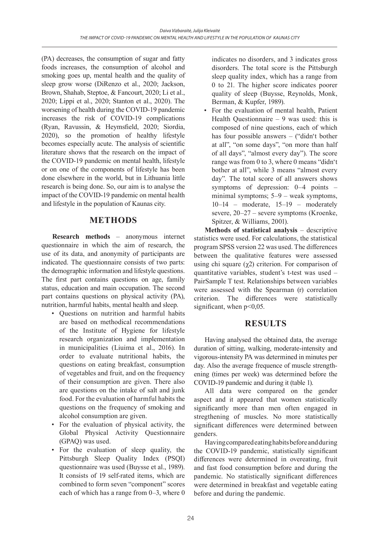(PA) decreases, the consumption of sugar and fatty foods increases, the consumption of alcohol and smoking goes up, mental health and the quality of sleep grow worse (DiRenzo et al., 2020; Jackson, Brown, Shahab, Steptoe, & Fancourt, 2020; Li et al., 2020; Lippi et al., 2020; Stanton et al., 2020). The worsening of health during the COVID-19 pandemic increases the risk of COVID-19 complications (Ryan, Ravussin, & Heymsfield, 2020; Siordia, 2020), so the promotion of healthy lifestyle becomes especially acute. The analysis of scientific literature shows that the research on the impact of the COVID-19 pandemic on mental health, lifestyle or on one of the components of lifestyle has been done elsewhere in the world, but in Lithuania little research is being done. So, our aim is to analyse the impact of the COVID-19 pandemic on mental health and lifestyle in the population of Kaunas city.

### **METHODS**

**Research methods** – anonymous internet questionnaire in which the aim of research, the use of its data, and anonymity of participants are indicated. The questionnaire consists of two parts: the demographic information and lifestyle questions. The first part contains questions on age, family status, education and main occupation. The second part contains questions on physical activity (PA), nutrition, harmful habits, mental health and sleep.

- Questions on nutrition and harmful habits are based on methodical recommendations of the Institute of Hygiene for lifestyle research organization and implementation in municipalities (Liuima et al., 2016). In order to evaluate nutritional habits, the questions on eating breakfast, consumption of vegetables and fruit, and on the frequency of their consumption are given. There also are questions on the intake of salt and junk food. For the evaluation of harmful habits the questions on the frequency of smoking and alcohol consumption are given.
- For the evaluation of physical activity, the Global Physical Activity Questionnaire (GPAQ) was used.
- For the evaluation of sleep quality, the Pittsburgh Sleep Quality Index (PSQI) questionnaire was used (Buysse et al., 1989). It consists of 19 self-rated items, which are combined to form seven "component" scores each of which has a range from 0–3, where 0

indicates no disorders, and 3 indicates gross disorders. The total score is the Pittsburgh sleep quality index, which has a range from 0 to 21. The higher score indicates poorer quality of sleep (Buysse, Reynolds, Monk, Berman, & Kupfer, 1989).

• For the evaluation of mental health, Patient Health Ouestionnaire  $-9$  was used: this is composed of nine questions, each of which has four possible answers – ("didn't bother at all", "on some days", "on more than half of all days", "almost every day"). The score range was from 0 to 3, where 0 means "didn't bother at all", while 3 means "almost every day". The total score of all answers shows symptoms of depression: 0–4 points – minimal symptoms; 5–9 – weak symptoms, 10–14 – moderate, 15–19 – moderately severe, 20–27 – severe symptoms (Kroenke, Spitzer, & Williams, 2001).

**Methods of statistical analysis** – descriptive statistics were used. For calculations, the statistical program SPSS version 22 was used. The differences between the qualitative features were assessed using chi square  $(\gamma 2)$  criterion. For comparison of quantitative variables, student's t-test was used – PairSample T test. Relationships between variables were assessed with the Spearman (r) correlation criterion. The differences were statistically significant, when  $p<0,05$ .

## **RESULTS**

Having analysed the obtained data, the average duration of sitting, walking, moderate-intensity and vigorous-intensity PA was determined in minutes per day. Also the average frequence of muscle strengthening (times per week) was determined before the COVID-19 pandemic and during it (table 1).

All data were compared on the gender aspect and it appeared that women statistically significantly more than men often engaged in stregthening of muscles. No more statistically significant differences were determined between genders.

Having compared eating habits before and during the COVID-19 pandemic, statistically significant differences were determined in overeating, fruit and fast food consumption before and during the pandemic. No statistically significant differences were determined in breakfast and vegetable eating before and during the pandemic.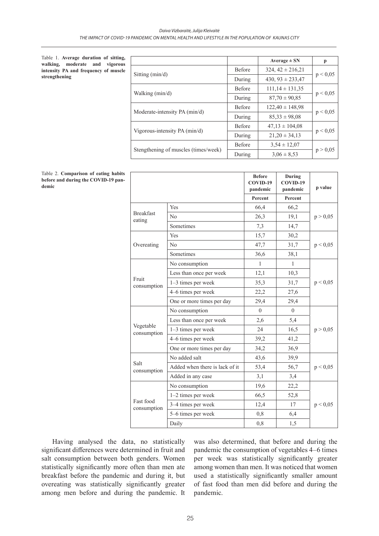Table 1. **Average duration of sitting, walking, moderate and vigorous intensity PA and frequency of muscle strengthening**

|                                      |               | Average $\pm$ SN      | p        |  |
|--------------------------------------|---------------|-----------------------|----------|--|
| Sitting $(min/d)$                    | <b>Before</b> | $324, 42 \pm 216, 21$ |          |  |
|                                      | During        | 430, $93 \pm 233,47$  | p < 0.05 |  |
|                                      | <b>Before</b> | $111,14 \pm 131,35$   |          |  |
| Walking (min/d)                      | During        | $87,70 \pm 90,85$     | p < 0.05 |  |
|                                      | <b>Before</b> | $122,40 \pm 148,98$   |          |  |
| Moderate-intensity PA (min/d)        | During        | $85,33 \pm 98,08$     | p < 0.05 |  |
| Vigorous-intensity PA (min/d)        | <b>Before</b> | $47,13 \pm 104,08$    |          |  |
|                                      | During        | $21,20 \pm 34,13$     | p < 0.05 |  |
|                                      | <b>Before</b> | $3,54 \pm 12,07$      |          |  |
| Stengthening of muscles (times/week) | During        | $3.06 \pm 8.53$       | p > 0,05 |  |

|       | Table 2. Comparison of eating habits |  |  |
|-------|--------------------------------------|--|--|
|       | before and during the COVID-19 pan-  |  |  |
| demic |                                      |  |  |

|                            |                                | <b>Before</b><br>COVID-19<br>pandemic | During<br>COVID-19<br>pandemic | p value  |
|----------------------------|--------------------------------|---------------------------------------|--------------------------------|----------|
|                            |                                | Percent                               | Percent                        |          |
|                            | Yes                            | 66,4                                  | 66,2                           |          |
| <b>Breakfast</b><br>eating | $\rm No$                       | 26,3                                  | 19,1                           | p > 0,05 |
|                            | Sometimes                      | 7,3                                   | 14,7                           |          |
|                            | Yes                            | 15,7                                  | 30,2                           |          |
| Overeating                 | No                             | 47,7                                  | 31,7                           | p < 0,05 |
|                            | Sometimes                      | 36,6                                  | 38,1                           |          |
|                            | No consumption                 | 1                                     | 1                              |          |
|                            | Less than once per week        | 12,1                                  | 10,3                           |          |
| Fruit<br>consumption       | $1-3$ times per week           | 35,3                                  | 31,7                           | p < 0,05 |
|                            | 4–6 times per week             | 22,2                                  | 27,6                           |          |
|                            | One or more times per day      | 29,4                                  | 29,4                           |          |
|                            | No consumption                 | $\Omega$                              | $\Omega$                       |          |
|                            | Less than once per week        | 2,6                                   | 5,4                            |          |
| Vegetable<br>consumption   | 1-3 times per week             | 24                                    | 16,5                           | p > 0,05 |
|                            | 4–6 times per week             | 39,2                                  | 41,2                           |          |
|                            | One or more times per day      | 34,2                                  | 36,9                           |          |
|                            | No added salt                  | 43,6                                  | 39,9                           |          |
| Salt<br>consumption        | Added when there is lack of it | 53,4                                  | 56,7                           | p < 0,05 |
|                            | Added in any case              | 3,1                                   | 3,4                            |          |
|                            | No consumption                 | 19,6                                  | 22,2                           |          |
|                            | 1-2 times per week             | 66,5                                  | 52,8                           |          |
| Fast food<br>consumption   | 3–4 times per week             | 12,4                                  | 17                             | p < 0,05 |
|                            | 5-6 times per week             | 0,8                                   | 6,4                            |          |
|                            | Daily                          | 0,8                                   | 1,5                            |          |

Having analysed the data, no statistically significant differences were determined in fruit and salt consumption between both genders. Women statistically significantly more often than men ate breakfast before the pandemic and during it, but overeating was statistically significantly greater among men before and during the pandemic. It was also determined, that before and during the pandemic the consumption of vegetables 4–6 times per week was statistically significantly greater among women than men. It was noticed that women used a statistically significantly smaller amount of fast food than men did before and during the pandemic.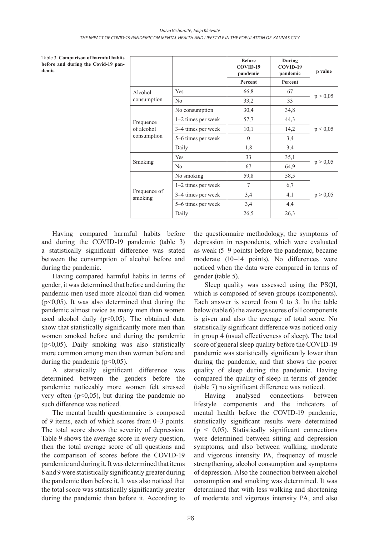Table 3. **Comparison of harmful habits before and during the Covid-19 pandemic**

|                           |                      | <b>Before</b><br>COVID-19<br>pandemic<br>Percent | During<br>COVID-19<br>pandemic<br>Percent | p value  |
|---------------------------|----------------------|--------------------------------------------------|-------------------------------------------|----------|
| Alcohol                   | Yes                  | 66,8                                             | 67                                        |          |
| consumption               | No                   | 33,2                                             | 33                                        | p > 0,05 |
|                           | No consumption       | 30,4                                             | 34,8                                      |          |
| Frequence                 | 1-2 times per week   | 57,7                                             | 44,3                                      | p < 0,05 |
| of alcohol<br>consumption | 3-4 times per week   | 10,1                                             | 14,2                                      |          |
|                           | 5–6 times per week   | $\theta$                                         | 3,4                                       |          |
|                           | Daily                | 1,8                                              | 3,4                                       |          |
|                           | Yes                  | 33                                               | 35,1                                      | p > 0,05 |
| Smoking                   | N <sub>o</sub>       | 67                                               | 64,9                                      |          |
| Frequence of<br>smoking   | No smoking           | 59,8                                             | 58,5                                      |          |
|                           | $1-2$ times per week | 7                                                | 6,7                                       |          |
|                           | 3–4 times per week   | 3,4                                              | 4,1                                       | p > 0,05 |
|                           | 5–6 times per week   | 3,4                                              | 4,4                                       |          |
|                           | Daily                | 26,5                                             | 26,3                                      |          |

Having compared harmful habits before and during the COVID-19 pandemic (table 3) a statistically significant difference was stated between the consumption of alcohol before and during the pandemic.

Having compared harmful habits in terms of gender, it was determined that before and during the pandemic men used more alcohol than did women  $(p<0.05)$ . It was also determined that during the pandemic almost twice as many men than women used alcohol daily ( $p<0,05$ ). The obtained data show that statistically significantly more men than women smoked before and during the pandemic (p<0,05). Daily smoking was also statistically more common among men than women before and during the pandemic ( $p<0,05$ ).

A statistically significant difference was determined between the genders before the pandemic: noticeably more women felt stressed very often  $(p<0.05)$ , but during the pandemic no such difference was noticed.

The mental health questionnaire is composed of 9 items, each of which scores from 0–3 points. The total score shows the severity of depression. Table 9 shows the average score in every question, then the total average score of all questions and the comparison of scores before the COVID-19 pandemic and during it. It was determined that items 8 and 9 were statistically significantly greater during the pandemic than before it. It was also noticed that the total score was statistically significantly greater during the pandemic than before it. According to the questionnaire methodology, the symptoms of depression in respondents, which were evaluated as weak (5–9 points) before the pandemic, became moderate (10–14 points). No differences were noticed when the data were compared in terms of gender (table 5).

Sleep quality was assessed using the PSQI, which is composed of seven groups (components). Each answer is scored from 0 to 3. In the table below (table 6) the average scores of all components is given and also the average of total score. No statistically significant difference was noticed only in group 4 (usual effectiveness of sleep). The total score of general sleep quality before the COVID-19 pandemic was statistically significantly lower than during the pandemic, and that shows the poorer quality of sleep during the pandemic. Having compared the quality of sleep in terms of gender (table 7) no significant difference was noticed.

Having analysed connections between lifestyle components and the indicators of mental health before the COVID-19 pandemic, statistically significant results were determined  $(p < 0.05)$ . Statistically significant connections were determined between sitting and depression symptoms, and also between walking, moderate and vigorous intensity PA, frequency of muscle strengthening, alcohol consumption and symptoms of depression. Also the connection between alcohol consumption and smoking was determined. It was determined that with less walking and shortening of moderate and vigorous intensity PA, and also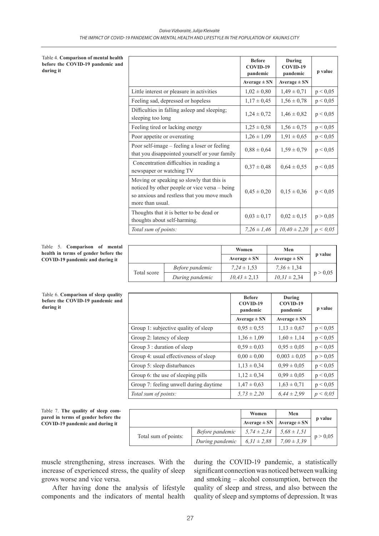Table 4. **Comparison of mental health before the COVID-19 pandemic and during it**

|                                                                                                                                                              | <b>Before</b><br>COVID-19<br>pandemic<br>$Average \pm SN$ | During<br>COVID-19<br>pandemic<br>Average $\pm$ SN | p value  |
|--------------------------------------------------------------------------------------------------------------------------------------------------------------|-----------------------------------------------------------|----------------------------------------------------|----------|
| Little interest or pleasure in activities                                                                                                                    | $1,02 \pm 0,80$                                           | $1,49 \pm 0,71$                                    | p < 0,05 |
| Feeling sad, depressed or hopeless                                                                                                                           | $1,17 \pm 0,45$                                           | $1,56 \pm 0,78$                                    | p < 0,05 |
| Difficulties in falling asleep and sleeping;<br>sleeping too long                                                                                            | $1,24 \pm 0,72$                                           | $1,46 \pm 0.82$                                    | p < 0.05 |
| Feeling tired or lacking energy                                                                                                                              | $1,25 \pm 0,58$                                           | $1,56 \pm 0,75$                                    | p < 0,05 |
| Poor appetite or overeating                                                                                                                                  | $1,26 \pm 1,09$                                           | $1,91 \pm 0,65$                                    | p < 0,05 |
| Poor self-image - feeling a loser or feeling<br>that you disappointed yourself or your family                                                                | $0,88 \pm 0,64$                                           | $1,59 \pm 0,79$                                    | p < 0,05 |
| Concentration difficulties in reading a<br>newspaper or watching TV                                                                                          | $0.37 \pm 0.48$                                           | $0.64 \pm 0.55$                                    | p < 0,05 |
| Moving or speaking so slowly that this is<br>noticed by other people or vice versa – being<br>so anxious and restless that you move much<br>more than usual. | $0,45 \pm 0,20$                                           | $0,15 \pm 0,36$                                    | p < 0,05 |
| Thoughts that it is better to be dead or<br>thoughts about self-harming.                                                                                     | $0,03 \pm 0,17$                                           | $0,02 \pm 0,15$                                    | p > 0,05 |
| Total sum of points:                                                                                                                                         | $7.26 \pm 1.46$                                           | $10,40 \pm 2,20$                                   | p < 0.05 |

#### Table 5. **Comparison of mental health in terms of gender before the COVID-19 pandemic and during it**

Table 6. **Comparison of sleep quality before the COVID-19 pandemic and** 

**during it** 

|             |                 | Women            | Men              |          |
|-------------|-----------------|------------------|------------------|----------|
|             |                 | Average $\pm$ SN | Average $\pm$ SN | p value  |
|             | Before pandemic | $7.24 \pm 1.53$  | $7.36 \pm 1.34$  |          |
| Total score | During pandemic | $10.43 \pm 2.13$ | $10.31 \pm 2.34$ | p > 0.05 |

|                                        | <b>Before</b><br>COVID-19<br>pandemic | During<br>COVID-19<br>pandemic | p value  |
|----------------------------------------|---------------------------------------|--------------------------------|----------|
|                                        | Average $\pm$ SN                      | Average $\pm$ SN               |          |
| Group 1: subjective quality of sleep   | $0.95 \pm 0.55$                       | $1,13 \pm 0.67$                | p < 0.05 |
| Group 2: latency of sleep              | $1,36 \pm 1,09$                       | $1,60 \pm 1,14$                | p < 0.05 |
| Group 3 : duration of sleep            | $0.59 \pm 0.03$                       | $0.95 \pm 0.05$                | p < 0.05 |
| Group 4: usual effectiveness of sleep  | $0.00 \pm 0.00$                       | $0.003 \pm 0.05$               | p > 0,05 |
| Group 5: sleep disturbances            | $1,13 \pm 0,34$                       | $0,99 \pm 0,05$                | p < 0.05 |
| Group 6: the use of sleeping pills     | $1,12 \pm 0,34$                       | $0.99 \pm 0.05$                | p < 0.05 |
| Group 7: feeling unwell during daytime | $1,47 \pm 0,63$                       | $1,63 \pm 0,71$                | p < 0.05 |
| Total sum of points:                   | $5,73 \pm 2,20$                       | $6,44 \pm 2,99$                | p < 0.05 |

Table 7. **The quality of sleep compared in terms of gender before the COVID-19 pandemic and during it** 

|                      |                 | Women            | Men              | p value  |
|----------------------|-----------------|------------------|------------------|----------|
|                      |                 | Average $\pm$ SN | Average $\pm$ SN |          |
|                      | Before pandemic | $5.74 \pm 2.34$  | $5.68 \pm 1.51$  |          |
| Total sum of points: | During pandemic | $6.31 \pm 2.88$  | $7.00 \pm 3.39$  | p > 0,05 |

muscle strengthening, stress increases. With the increase of experienced stress, the quality of sleep grows worse and vice versa.

After having done the analysis of lifestyle components and the indicators of mental health

during the COVID-19 pandemic, a statistically significant connection was noticed between walking and smoking – alcohol consumption, between the quality of sleep and stress, and also between the quality of sleep and symptoms of depression. It was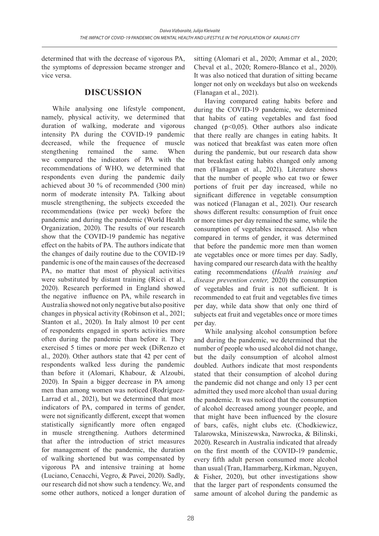determined that with the decrease of vigorous PA, the symptoms of depression became stronger and vice versa.

### **DISCUSSION**

While analysing one lifestyle component, namely, physical activity, we determined that duration of walking, moderate and vigorous intensity PA during the COVID-19 pandemic decreased, while the frequence of muscle stengthening remained the same. When we compared the indicators of PA with the recommendations of WHO, we determined that respondents even during the pandemic daily achieved about 30 % of recommended (300 min) norm of moderate intensity PA. Talking about muscle strengthening, the subjects exceeded the recommendations (twice per week) before the pandemic and during the pandemic (World Health Organization, 2020). The results of our research show that the COVID-19 pandemic has negative effect on the habits of PA. The authors indicate that the changes of daily routine due to the COVID-19 pandemic is one of the main causes of the decreased PA, no matter that most of physical activities were substituted by distant training (Ricci et al., 2020). Research performed in England showed the negative influence on PA, while research in Australia showed not only negative but also positive changes in physical activity (Robinson et al., 2021; Stanton et al., 2020). In Italy almost 10 per cent of respondents engaged in sports activities more often during the pandemic than before it. They exercised 5 times or more per week (DiRenzo et al., 2020). Other authors state that 42 per cent of respondents walked less during the pandemic than before it (Alomari, Khabour, & Alzoubi, 2020). In Spain a bigger decrease in PA among men than among women was noticed (Rodríguez-Larrad et al., 2021), but we determined that most indicators of PA, compared in terms of gender, were not significantly different, except that women statistically significantly more often engaged in muscle strengthening. Authors determined that after the introduction of strict measures for management of the pandemic, the duration of walking shortened but was compensated by vigorous PA and intensive training at home (Luciano, Cenacchi, Vegro, & Pavei, 2020). Sadly, our research did not show such a tendency. We, and some other authors, noticed a longer duration of

While analysing alcohol consumption before and during the pandemic, we determined that the

sitting (Alomari et al., 2020; Ammar et al., 2020; Cheval et al., 2020; Romero-Blanco et al., 2020). It was also noticed that duration of sitting became longer not only on weekdays but also on weekends

Having compared eating habits before and during the COVID-19 pandemic, we determined that habits of eating vegetables and fast food changed ( $p<0,05$ ). Other authors also indicate that there really are changes in eating habits. It was noticed that breakfast was eaten more often during the pandemic, but our research data show that breakfast eating habits changed only among men (Flanagan et al., 2021). Literature shows that the number of people who eat two or fewer portions of fruit per day increased, while no significant difference in vegetable consumption was noticed (Flanagan et al., 2021). Our research shows different results: consumption of fruit once or more times per day remained the same, while the consumption of vegetables increased. Also when compared in terms of gender, it was determined that before the pandemic more men than women ate vegetables once or more times per day. Sadly, having compared our research data with the healthy eating recommendations (*Health training and disease prevention center,* 2020) the consumption of vegetables and fruit is not sufficient. It is recommended to eat fruit and vegetables five times per day, while data show that only one third of subjects eat fruit and vegetables once or more times

(Flanagan et al., 2021).

number of people who used alcohol did not change, but the daily consumption of alcohol almost doubled. Authors indicate that most respondents stated that their consumption of alcohol during the pandemic did not change and only 13 per cent admitted they used more alcohol than usual during the pandemic. It was noticed that the consumption of alcohol decreased among younger people, and that might have been influenced by the closure of bars, cafés, night clubs etc. (Chodkiewicz, Talarowska, Miniszewska, Nawrocka, & Bilinski, 2020). Research in Australia indicated that already on the first month of the COVID-19 pandemic, every fifth adult person consumed more alcohol than usual (Tran, Hammarberg, Kirkman, Nguyen, & Fisher, 2020), but other investigations show that the larger part of respondents consumed the same amount of alcohol during the pandemic as

per day.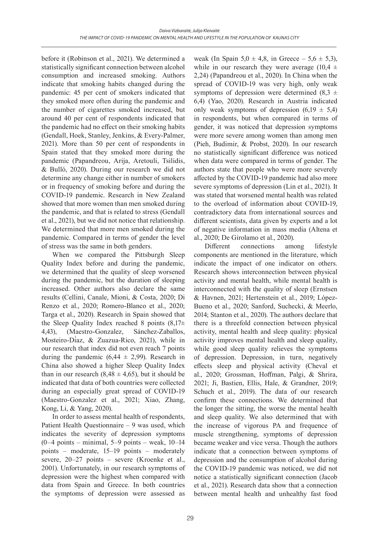before it (Robinson et al., 2021). We determined a statistically significant connection between alcohol consumption and increased smoking. Authors indicate that smoking habits changed during the pandemic: 45 per cent of smokers indicated that they smoked more often during the pandemic and the number of cigarettes smoked increased, but around 40 per cent of respondents indicated that the pandemic had no effect on their smoking habits (Gendall, Hoek, Stanley, Jenkins, & Every-Palmer, 2021). More than 50 per cent of respondents in Spain stated that they smoked more during the pandemic (Papandreou, Arija, Aretouli, Tsilidis, & Bulló, 2020). During our research we did not determine any change either in number of smokers or in frequency of smoking before and during the COVID-19 pandemic. Research in New Zealand showed that more women than men smoked during the pandemic, and that is related to stress (Gendall et al., 2021), but we did not notice that relationship. We determined that more men smoked during the pandemic. Compared in terms of gender the level of stress was the same in both genders.

When we compared the Pittsburgh Sleep Quality Index before and during the pandemic, we determined that the quality of sleep worsened during the pandemic, but the duration of sleeping increased. Other authors also declare the same results (Cellini, Canale, Mioni, & Costa, 2020; Di Renzo et al., 2020; Romero-Blanco et al., 2020; Targa et al., 2020). Research in Spain showed that the Sleep Quality Index reached 8 points  $(8,17\pm$ 4,43), (Maestro-Gonzalez, Sánchez-Zaballos, Mosteiro-Díaz, & Zuazua-Rico, 2021), while in our research that index did not even reach 7 points during the pandemic  $(6,44 \pm 2,99)$ . Research in China also showed a higher Sleep Quality Index than in our research  $(8,48 \pm 4,65)$ , but it should be indicated that data of both countries were collected during an especially great spread of COVID-19 (Maestro-Gonzalez et al., 2021; Xiao, Zhang, Kong, Li, & Yang, 2020).

In order to assess mental health of respondents, Patient Health Questionnaire – 9 was used, which indicates the severity of depression symptoms  $(0-4 \text{ points} - \text{minimal}, 5-9 \text{ points} - \text{weak}, 10-14$ points – moderate, 15–19 points – moderately severe, 20–27 points – severe (Kroenke et al., 2001). Unfortunately, in our research symptoms of depression were the highest when compared with data from Spain and Greece. In both countries the symptoms of depression were assessed as weak (In Spain  $5.0 \pm 4.8$ , in Greece –  $5.6 \pm 5.3$ ), while in our research they were average (10,4  $\pm$ 2,24) (Papandreou et al., 2020). In China when the spread of COVID-19 was very high, only weak symptoms of depression were determined  $(8,3, \pm)$ 6,4) (Yao, 2020). Research in Austria indicated only weak symptoms of depression  $(6,19 \pm 5,4)$ in respondents, but when compared in terms of gender, it was noticed that depression symptoms were more severe among women than among men (Pieh, Budimir, & Probst, 2020). In our research no statistically significant difference was noticed when data were compared in terms of gender. The authors state that people who were more severely affected by the COVID-19 pandemic had also more severe symptoms of depression (Lin et al., 2021). It was stated that worsened mental health was related to the overload of information about COVID-19, contradictory data from international sources and different scientists, data given by experts and a lot of negative information in mass media (Altena et al., 2020; De Girolamo et al., 2020).

Different connections among lifestyle components are mentioned in the literature, which indicate the impact of one indicator on others. Research shows interconnection between physical activity and mental health, while mental health is interconnected with the quality of sleep (Ernstsen & Havnen, 2021; Hertenstein et al., 2019; López-Bueno et al., 2020; Sanford, Suchecki, & Meerlo, 2014; Stanton et al., 2020). The authors declare that there is a threefold connection between physical activity, mental health and sleep quality: physical activity improves mental health and sleep quality, while good sleep quality relieves the symptoms of depression. Depression, in turn, negatively effects sleep and physical activity (Cheval et al., 2020; Grossman, Hoffman, Palgi, & Shrira, 2021; Ji, Bastien, Ellis, Hale, & Grandner, 2019; Schuch et al., 2019). The data of our research confirm these connections. We determined that the longer the sitting, the worse the mental health and sleep quality. We also determined that with the increase of vigorous PA and frequence of muscle strengthening, symptoms of depression became weaker and vice versa. Though the authors indicate that a connection between symptoms of depression and the consumption of alcohol during the COVID-19 pandemic was noticed, we did not notice a statistically significant connection (Jacob et al., 2021). Research data show that a connection between mental health and unhealthy fast food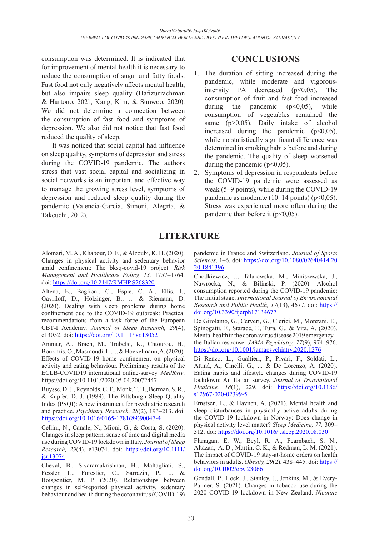consumption was determined. It is indicated that for improvement of mental health it is necessary to reduce the consumption of sugar and fatty foods. Fast food not only negatively affects mental health, but also impairs sleep quality (Hafizurrachman & Hartono, 2021; Kang, Kim, & Sunwoo, 2020). We did not determine a connection between the consumption of fast food and symptoms of depression. We also did not notice that fast food reduced the quality of sleep.

It was noticed that social capital had influence on sleep quality, symptoms of depression and stress during the COVID-19 pandemic. The authors stress that vast social capital and socializing in social networks is an important and effective way to manage the growing stress level, symptoms of depression and reduced sleep quality during the pandemic (Valencia-Garcia, Simoni, Alegría, & Takeuchi, 2012).

# **CONCLUSIONS**

- 1. The duration of sitting increased during the pandemic, while moderate and vigorousintensity PA decreased  $(p<0,05)$ . The consumption of fruit and fast food increased during the pandemic  $(p<0.05)$ , while consumption of vegetables remained the same (p>0,05). Daily intake of alcohol increased during the pandemic  $(p<0.05)$ , while no statistically significant difference was determined in smoking habits before and during the pandemic. The quality of sleep worsened during the pandemic  $(p<0.05)$ .
- 2. Symptoms of depression in respondents before the COVID-19 pandemic were assessed as weak (5–9 points), while during the COVID-19 pandemic as moderate  $(10-14 \text{ points})$  ( $p<0,05$ ). Stress was experienced more often during the pandemic than before it  $(p<0.05)$ .

# **LITERATURE**

Alomari, M. A., Khabour, O. F., & Alzoubi, K. H. (2020). Changes in physical activity and sedentary behavior amid confinement: The bksq-covid-19 project. *Risk Management and Healthcare Policy, 13,* 1757–1764. doi: https://doi.org[/10.2147/RMHP.S268320](https://dx.doi.org/10.2147%2FRMHP.S268320)

Altena, E., Baglioni, C., Espie, C. A., Ellis, J., Gavriloff, D., Holzinger, B., ... & Riemann, D. (2020). Dealing with sleep problems during home confinement due to the COVID‐19 outbreak: Practical recommendations from a task force of the European CBT‐I Academy. *Journal of Sleep Research, 29*(4), e13052. doi: <https://doi.org/10.1111/jsr.13052>

Ammar, A., Brach, M., Trabelsi, K., Chtourou, H., Boukhris, O., Masmoudi, L., ... & Hoekelmann, A. (2020). Effects of COVID-19 home confinement on physical activity and eating behaviour. Preliminary results of the ECLB-COVID19 international online-survey. *MedRxiv*. https://doi.org/10.1101/2020.05.04.20072447

Buysse, D. J., Reynolds, C. F., Monk, T. H., Berman, S.R., & Kupfer, D. J. (1989). The Pittsburgh Sleep Quality Index (PSQI): A new instrument for psychiatric research and practice. *Psychiatry Research, 28*(2), 193–213. doi: [https://doi.org/10.1016/0165-1781\(89\)90047-4](https://doi.org/10.1016/0165-1781(89)90047-4)

Cellini, N., Canale, N., Mioni, G., & Costa, S. (2020). Changes in sleep pattern, sense of time and digital media use during COVID‐19 lockdown in Italy. *Journal of Sleep Research, 29*(4), e13074. doi: [https://doi.org/10.1111/](https://doi.org/10.1111/jsr.13074) [jsr.13074](https://doi.org/10.1111/jsr.13074)

Cheval, B., Sivaramakrishnan, H., Maltagliati, S., Fessler, L., Forestier, C., Sarrazin, P., ... & Boisgontier, M. P. (2020). Relationships between changes in self-reported physical activity, sedentary behaviour and health during the coronavirus (COVID-19)

pandemic in France and Switzerland. *Journal of Sports Sciences,* 1–6. doi: [https://doi.org/10.1080/02640414.20](https://doi.org/10.1080/02640414.2020.1841396) [20.1841396](https://doi.org/10.1080/02640414.2020.1841396)

Chodkiewicz, J., Talarowska, M., Miniszewska, J., Nawrocka, N., & Bilinski, P. (2020). Alcohol consumption reported during the COVID-19 pandemic: The initial stage. *International Journal of Environmental Research and Public Health, 17*(13), 4677. doi: [https://](https://doi.org/10.3390/ijerph17134677) doi.org/[10.3390/ijerph17134677](https://doi.org/10.3390/ijerph17134677)

De Girolamo, G., Cerveri, G., Clerici, M., Monzani, E., Spinogatti, F., Starace, F., Tura, G., & Vita, A. (2020). Mental health in the coronavirus disease 2019 emergency– the Italian response. *JAMA Psychiatry, 77*(9), 974–976. https://doi.org/[10.1001/jamapsychiatry.2020.1276](https://doi.org/10.1001/jamapsychiatry.2020.1276)

Di Renzo, L., Gualtieri, P., Pivari, F., Soldati, L., Attinà, A., Cinelli, G., ... & De Lorenzo, A. (2020). Eating habits and lifestyle changes during COVID-19 lockdown: An Italian survey. *Journal of Translational Medicine, 18*(1), 229. doi: https://doi.org[/10.1186/](https://doi.org/10.1186/s12967-020-02399-5) [s12967-020-02399-5](https://doi.org/10.1186/s12967-020-02399-5)

Ernstsen, L., & Havnen, A. (2021). Mental health and sleep disturbances in physically active adults during the COVID-19 lockdown in Norway: Does change in physical activity level matter? *Sleep Medicine, 77,* 309– 312. doi: <https://doi.org/10.1016/j.sleep.2020.08.030>

Flanagan, E. W., Beyl, R. A., Fearnbach, S. N., Altazan, A. D., Martin, C. K., & Redman, L. M. (2021). The impact of COVID-19 stay-at-home orders on health behaviors in adults. *Obesity, 29*(2), 438–445. doi: [https://](https://doi.org/10.1002/oby.23066) [doi.org/10.1002/oby.23066](https://doi.org/10.1002/oby.23066)

Gendall, P., Hoek, J., Stanley, J., Jenkins, M., & Every-Palmer, S. (2021). Changes in tobacco use during the 2020 COVID-19 lockdown in New Zealand. *Nicotine*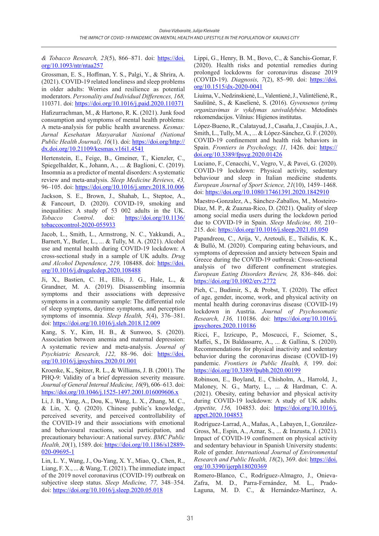*& Tobacco Research, 23*(5), 866–871. doi: [https://doi.](https://doi.org/10.1093/ntr/ntaa257) [org/10.1093/ntr/ntaa257](https://doi.org/10.1093/ntr/ntaa257)

Grossman, E. S., Hoffman, Y. S., Palgi, Y., & Shrira, A. (2021). COVID-19 related loneliness and sleep problems in older adults: Worries and resilience as potential moderators. *Personality and Individual Differences, 168,* 110371. doi: <https://doi.org/10.1016/j.paid.2020.110371>

Hafizurrachman, M., & Hartono, R. K. (2021). Junk food consumption and symptoms of mental health problems: A meta-analysis for public health awareness. *Kesmas: Jurnal Kesehatan Masyarakat Nasional (National Public Health Journal), 16*(1). doi: https://doi.org/[http://](http://dx.doi.org/10.21109/kesmas.v16i1.4541) [dx.doi.org/10.21109/kesmas.v16i1.4541](http://dx.doi.org/10.21109/kesmas.v16i1.4541)

Hertenstein, E., Feige, B., Gmeiner, T., Kienzler, C., Spiegelhalder, K., Johann, A., ... & Baglioni, C. (2019). Insomnia as a predictor of mental disorders: A systematic review and meta-analysis. *Sleep Medicine Reviews, 43,* 96–105. doi:<https://doi.org/10.1016/j.smrv.2018.10.006>

Jackson, S. E., Brown, J., Shahab, L., Steptoe, A., & Fancourt, D. (2020). COVID-19, smoking and inequalities: A study of 53 002 adults in the UK. *Tobacco Control*. doi: [https://doi.org/10.1136/](https://doi.org/10.1136/tobaccocontrol-2020-055933) [tobaccocontrol-2020-055933](https://doi.org/10.1136/tobaccocontrol-2020-055933)

Jacob, L., Smith, L., Armstrong, N. C., Yakkundi, A., Barnett, Y., Butler, L., ... & Tully, M. A. (2021). Alcohol use and mental health during COVID-19 lockdown: A cross-sectional study in a sample of UK adults. *Drug and Alcohol Dependence, 219,* 108488. doi: [https://doi.](https://doi.org/10.1016/j.drugalcdep.2020.108488) [org/10.1016/j.drugalcdep.2020.108488](https://doi.org/10.1016/j.drugalcdep.2020.108488)

Ji, X., Bastien, C. H., Ellis, J. G., Hale, L., & Grandner, M. A. (2019). Disassembling insomnia symptoms and their associations with depressive symptoms in a community sample: The differential role of sleep symptoms, daytime symptoms, and perception symptoms of insomnia. *Sleep Health, 5*(4), 376–381. doi: https://doi.org[/10.1016/j.sleh.2018.12.009](https://doi.org/10.1016/j.sleh.2018.12.009)

Kang, S. Y., Kim, H. B., & Sunwoo, S. (2020). Association between anemia and maternal depression: A systematic review and meta-analysis. *Journal of*  Psychiatric Research, 122, 88-96. doi: [https://doi.](https://doi.org/10.1016/j.jpsychires.2020.01.001) [org/10.1016/j.jpsychires.2020.01.001](https://doi.org/10.1016/j.jpsychires.2020.01.001)

Kroenke, K., Spitzer, R. L., & Williams, J. B. (2001). The PHQ‐9: Validity of a brief depression severity measure. *Journal of General Internal Medicine, 16*(9), 606–613. doi: <https://doi.org/10.1046/j.1525-1497.2001.016009606.x>

Li, J. B., Yang, A., Dou, K., Wang, L. X., Zhang, M. C., & Lin, X. Q. (2020). Chinese public's knowledge, perceived severity, and perceived controllability of the COVID-19 and their associations with emotional and behavioural reactions, social participation, and precautionary behaviour: A national survey. *BMC Public Health, 20*(1), 1589. doi: [https://doi.org/10.1186/s12889-](https://doi.org/10.1186/s12889-020-09695-1) [020-09695-1](https://doi.org/10.1186/s12889-020-09695-1)

Lin, L. Y., Wang, J., Ou-Yang, X. Y., Miao, Q., Chen, R., Liang, F. X., ... & Wang, T. (2021). The immediate impact of the 2019 novel coronavirus (COVID-19) outbreak on subjective sleep status. *Sleep Medicine, 77,* 348–354. doi:<https://doi.org/10.1016/j.sleep.2020.05.018>

Lippi, G., Henry, B. M., Bovo, C., & Sanchis-Gomar, F. (2020). Health risks and potential remedies during prolonged lockdowns for coronavirus disease 2019 (COVID-19). *Diagnosis, 7*(2), 85–90. doi: [https://doi.](https://doi.org/10.1515/dx-2020-0041) [org/10.1515/dx-2020-0041](https://doi.org/10.1515/dx-2020-0041)

Liuima, V., Nedzinskienė, L., Valentienė, J., Valintėlienė,R., Sauliūnė, S., & Kaselienė, S. (2016). *Gyvensenos tyrimų organizavimas ir vykdymas savivaldybėse.* Metodinės rekomendacijos. Vilnius: Higienos institutas.

López-Bueno, R., Calatayud, J., Casaña, J., Casajús,J.A., Smith, L., Tully, M. A., ... & López-Sánchez, G. F. (2020). COVID-19 confinement and health risk behaviors in Spain. *Frontiers in Psychology, 11,* 1426. doi: https:// doi.org/[10.3389/fpsyg.2020.01426](https://dx.doi.org/10.3389%2Ffpsyg.2020.01426)

Luciano, F., Cenacchi, V., Vegro, V., & Pavei, G. (2020). COVID-19 lockdown: Physical activity, sedentary behaviour and sleep in Italian medicine students. *European Journal of Sport Science, 21*(10), 1459–1468. doi: <https://doi.org/10.1080/17461391.2020.1842910>

Maestro-Gonzalez, A., Sánchez-Zaballos, M., Mosteiro-Díaz, M. P., & Zuazua-Rico, D. (2021). Quality of sleep among social media users during the lockdown period due to COVID-19 in Spain. *Sleep Medicine, 80,* 210– 215. doi: <https://doi.org/10.1016/j.sleep.2021.01.050>

Papandreou, C., Arija, V., Aretouli, E., Tsilidis, K. K., & Bulló, M. (2020). Comparing eating behaviours, and symptoms of depression and anxiety between Spain and Greece during the COVID‐19 outbreak: Cross‐sectional analysis of two different confinement strategies. *European Eating Disorders Review, 28,* 836–846. doi: https://doi.org/[10.1002/erv.2772](https://dx.doi.org/10.1002%2Ferv.2772)

Pieh, C., Budimir, S., & Probst, T. (2020). The effect of age, gender, income, work, and physical activity on mental health during coronavirus disease (COVID-19) lockdown in Austria. *Journal of Psychosomatic Research, 136,* 110186. doi: [https://doi.org/10.1016/j.](https://doi.org/10.1016/j.jpsychores.2020.110186) [jpsychores.2020.110186](https://doi.org/10.1016/j.jpsychores.2020.110186)

Ricci, F., Izzicupo, P., Moscucci, F., Sciomer, S., Maffei, S., Di Baldassarre, A., ... & Gallina, S. (2020). Recommendations for physical inactivity and sedentary behavior during the coronavirus disease (COVID-19) pandemic. *Frontiers in Public Health, 8,* 199. doi: https://doi.org/[10.3389/fpubh.2020.00199](https://dx.doi.org/10.3389%2Ffpubh.2020.00199)

Robinson, E., Boyland, E., Chisholm, A., Harrold, J., Maloney, N. G., Marty, L., ... & Hardman, C. A. (2021). Obesity, eating behavior and physical activity during COVID-19 lockdown: A study of UK adults. *Appetite, 156,* 104853. doi: [https://doi.org/10.1016/j.](https://doi.org/10.1016/j.appet.2020.104853) [appet.2020.104853](https://doi.org/10.1016/j.appet.2020.104853)

Rodríguez-Larrad, A., Mañas, A., Labayen, I., González-Gross, M., Espin, A., Aznar, S., ... & Irazusta, J. (2021). Impact of COVID-19 confinement on physical activity and sedentary behaviour in Spanish University students: Role of gender. *International Journal of Environmental Research and Public Health, 18*(2), 369. doi: h[ttps://doi.](https://doi.org/10.3390/ijerph18020369) [org/10.3390/ijerph18020369](https://doi.org/10.3390/ijerph18020369)

Romero-Blanco, C., Rodríguez-Almagro, J., Onieva-Zafra, M. D., Parra-Fernández, M. L., Prado-Laguna, M. D. C., & Hernández-Martínez, A.